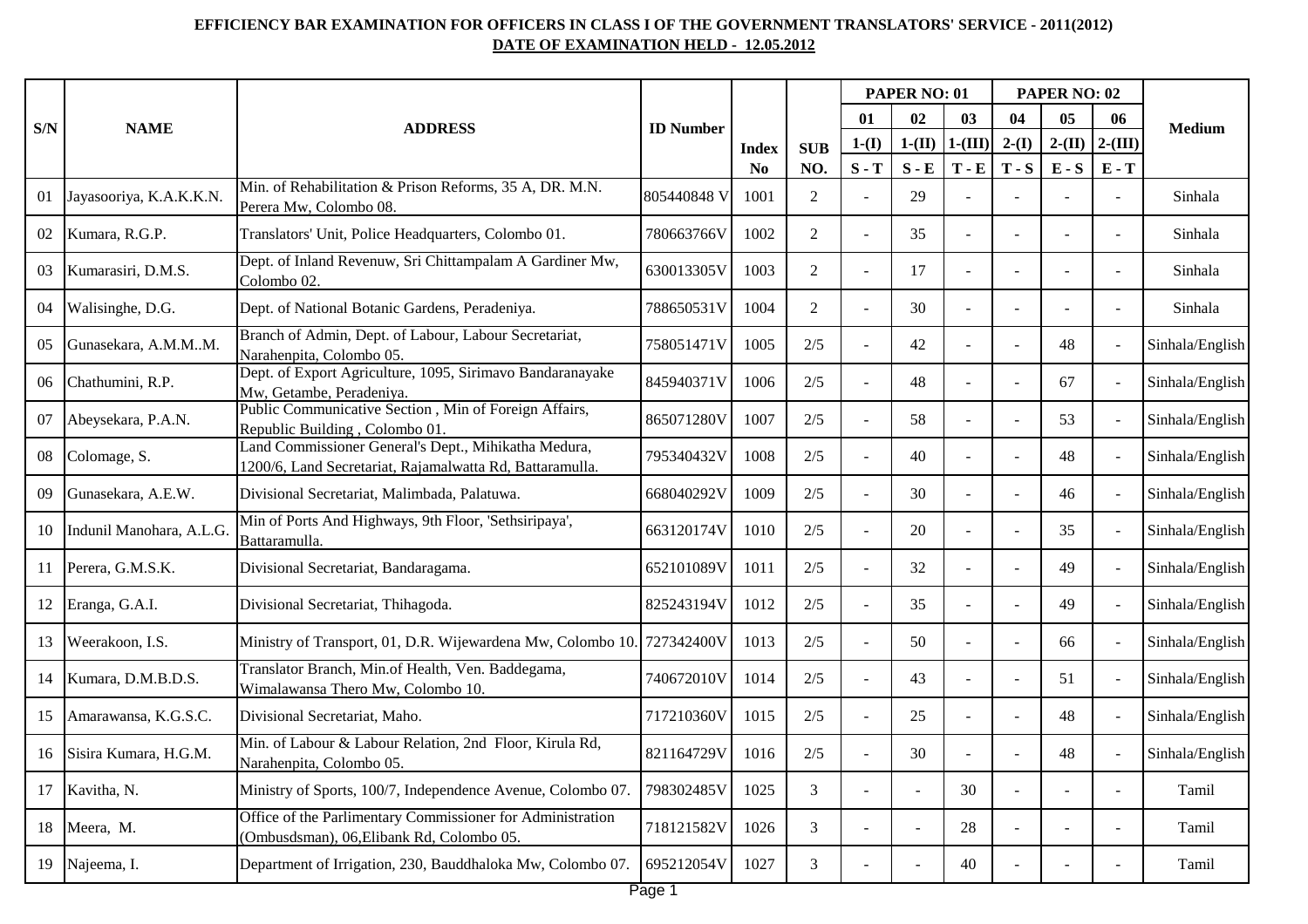## **EFFICIENCY BAR EXAMINATION FOR OFFICERS IN CLASS I OF THE GOVERNMENT TRANSLATORS' SERVICE - 2011(2012) DATE OF EXAMINATION HELD - 12.05.2012**

|        | <b>NAME</b>              | <b>ADDRESS</b>                                                                                                   | <b>ID</b> Number |                |                | PAPER NO: 01 |                |           | PAPER NO: 02   |          |           |                 |
|--------|--------------------------|------------------------------------------------------------------------------------------------------------------|------------------|----------------|----------------|--------------|----------------|-----------|----------------|----------|-----------|-----------------|
| S/N    |                          |                                                                                                                  |                  | <b>Index</b>   | <b>SUB</b>     | 01           | 02             | 03        | 04             | 05       | 06        | <b>Medium</b>   |
|        |                          |                                                                                                                  |                  |                |                | $1-(I)$      | $1-(II)$       | $1-(III)$ | $2-(I)$        | $2-(II)$ | $2-(III)$ |                 |
|        |                          |                                                                                                                  |                  | N <sub>0</sub> | NO.            | $S - T$      | $S - E$        | $T - E$   | $T-S$          | $E-S$    | $E - T$   |                 |
| 01     | Jayasooriya, K.A.K.K.N.  | Min. of Rehabilitation & Prison Reforms, 35 A, DR. M.N.<br>Perera Mw, Colombo 08.                                | 805440848 V      | 1001           | $\overline{2}$ | $\sim$       | 29             |           |                |          |           | Sinhala         |
| 02     | Kumara, R.G.P.           | Translators' Unit, Police Headquarters, Colombo 01.                                                              | 780663766V       | 1002           | $\overline{2}$ | ÷.           | 35             |           |                |          |           | Sinhala         |
| 03     | Kumarasiri, D.M.S.       | Dept. of Inland Revenuw, Sri Chittampalam A Gardiner Mw,<br>Colombo <sub>02</sub> .                              | 630013305V       | 1003           | $\overline{2}$ |              | 17             |           |                |          |           | Sinhala         |
| 04     | Walisinghe, D.G.         | Dept. of National Botanic Gardens, Peradeniya.                                                                   | 788650531V       | 1004           | $\overline{2}$ |              | 30             |           |                |          |           | Sinhala         |
| 05     | Gunasekara, A.M.MM.      | Branch of Admin, Dept. of Labour, Labour Secretariat,<br>Narahenpita, Colombo 05.                                | 758051471V       | 1005           | 2/5            |              | 42             |           |                | 48       |           | Sinhala/English |
| 06     | Chathumini, R.P.         | Dept. of Export Agriculture, 1095, Sirimavo Bandaranayake<br>Mw, Getambe, Peradeniya.                            | 845940371V       | 1006           | 2/5            |              | 48             |           | $\overline{a}$ | 67       |           | Sinhala/English |
| 07     | Abeysekara, P.A.N.       | Public Communicative Section, Min of Foreign Affairs,<br>Republic Building, Colombo 01.                          | 865071280V       | 1007           | 2/5            | $\sim$       | 58             |           |                | 53       |           | Sinhala/English |
| 08     | Colomage, S.             | Land Commissioner General's Dept., Mihikatha Medura,<br>1200/6, Land Secretariat, Rajamalwatta Rd, Battaramulla. | 795340432V       | 1008           | 2/5            |              | 40             |           |                | 48       |           | Sinhala/English |
| 09     | Gunasekara, A.E.W.       | Divisional Secretariat, Malimbada, Palatuwa.                                                                     | 668040292V       | 1009           | 2/5            |              | 30             |           | $\overline{a}$ | 46       |           | Sinhala/English |
| 10     | Indunil Manohara, A.L.G. | Min of Ports And Highways, 9th Floor, 'Sethsiripaya',<br>Battaramulla.                                           | 663120174V       | 1010           | 2/5            |              | 20             |           |                | 35       |           | Sinhala/English |
| 11     | Perera, G.M.S.K.         | Divisional Secretariat, Bandaragama.                                                                             | 652101089V       | 1011           | 2/5            |              | 32             |           |                | 49       |           | Sinhala/English |
| 12     | Eranga, G.A.I.           | Divisional Secretariat, Thihagoda.                                                                               | 825243194V       | 1012           | 2/5            |              | 35             |           |                | 49       |           | Sinhala/English |
| 13     | Weerakoon, I.S.          | Ministry of Transport, 01, D.R. Wijewardena Mw, Colombo 10. 727342400V                                           |                  | 1013           | 2/5            | $\mathbf{r}$ | 50             |           | $\sim$         | 66       |           | Sinhala/English |
| 14     | Kumara, D.M.B.D.S.       | Translator Branch, Min.of Health, Ven. Baddegama,<br>Wimalawansa Thero Mw, Colombo 10.                           | 740672010V       | 1014           | 2/5            |              | 43             |           |                | 51       |           | Sinhala/English |
| 15     | Amarawansa, K.G.S.C.     | Divisional Secretariat, Maho.                                                                                    | 717210360V       | 1015           | 2/5            |              | 25             |           |                | 48       |           | Sinhala/English |
| 16     | Sisira Kumara, H.G.M.    | Min. of Labour & Labour Relation, 2nd Floor, Kirula Rd,<br>Narahenpita, Colombo 05.                              | 821164729V       | 1016           | 2/5            |              | 30             |           |                | 48       |           | Sinhala/English |
| 17     | Kavitha, N.              | Ministry of Sports, 100/7, Independence Avenue, Colombo 07.                                                      | 798302485V       | 1025           | $\overline{3}$ |              |                | 30        |                |          |           | Tamil           |
| $18\,$ | Meera, M.                | Office of the Parlimentary Commissioner for Administration<br>(Ombusdsman), 06, Elibank Rd, Colombo 05.          | 718121582V       | 1026           | $\overline{3}$ |              | $\overline{a}$ | 28        |                |          |           | Tamil           |
| 19     | Najeema, I.              | Department of Irrigation, 230, Bauddhaloka Mw, Colombo 07.                                                       | 695212054V       | 1027           | 3              |              |                | 40        |                |          |           | Tamil           |